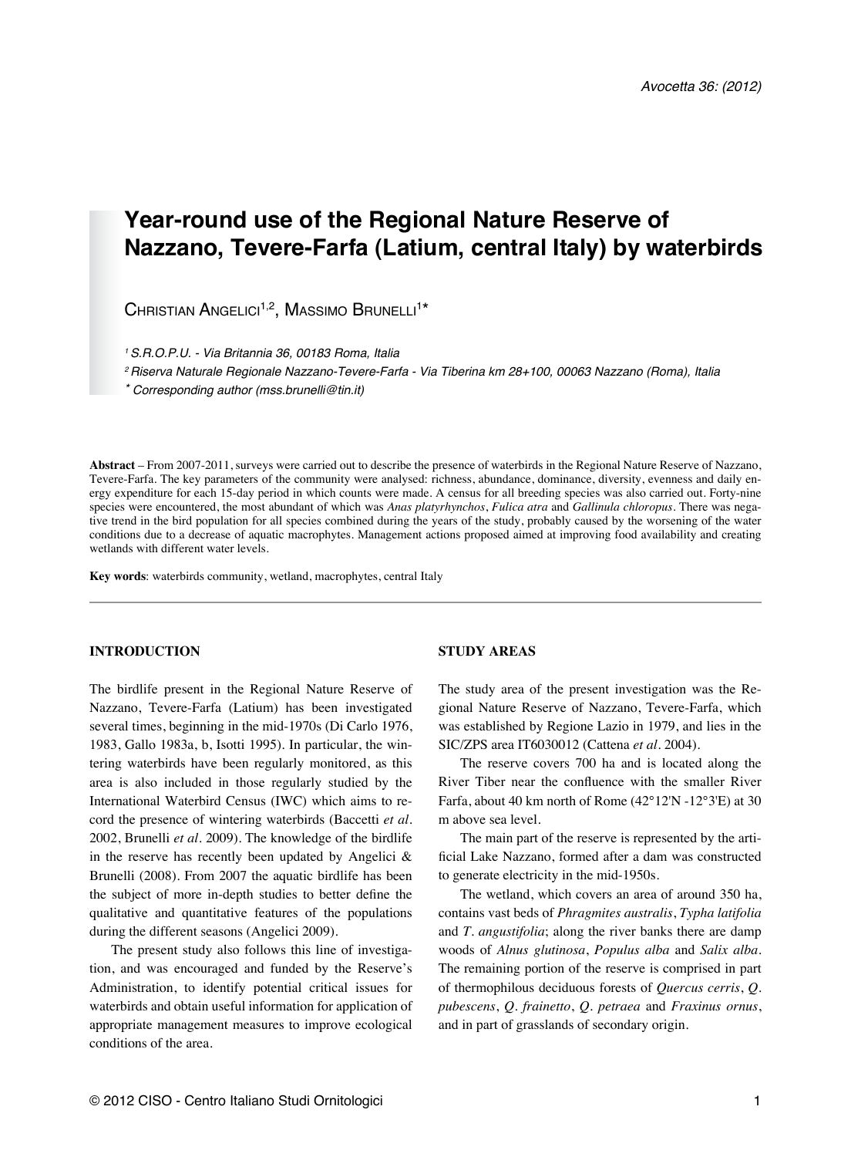# **Year-round use of the Regional Nature Reserve of Nazzano, Tevere-Farfa (Latium, central Italy) by waterbirds**

 $\mathsf{C}$ hristian Angelici $^{1,2}$ , Massimo Brunelli $^{1*}$ 

*1 S.R.O.P.U. - Via Britannia 36, 00183 Roma, Italia* 

*2 Riserva Naturale Regionale Nazzano-Tevere-Farfa - Via Tiberina km 28+100, 00063 Nazzano (Roma), Italia*

*\* Corresponding author (mss.brunelli@tin.it)* 

**Abstract** – From 2007-2011, surveys were carried out to describe the presence of waterbirds in the Regional Nature Reserve of Nazzano, Tevere-Farfa. The key parameters of the community were analysed: richness, abundance, dominance, diversity, evenness and daily energy expenditure for each 15-day period in which counts were made. A census for all breeding species was also carried out. Forty-nine species were encountered, the most abundant of which was *Anas platyrhynchos*, *Fulica atra* and *Gallinula chloropus*. There was negative trend in the bird population for all species combined during the years of the study, probably caused by the worsening of the water conditions due to a decrease of aquatic macrophytes. Management actions proposed aimed at improving food availability and creating wetlands with different water levels.

**Key words**: waterbirds community, wetland, macrophytes, central Italy

### **INTRODUCTION**

The birdlife present in the Regional Nature Reserve of Nazzano, Tevere-Farfa (Latium) has been investigated several times, beginning in the mid-1970s (Di Carlo 1976, 1983, Gallo 1983a, b, Isotti 1995). In particular, the wintering waterbirds have been regularly monitored, as this area is also included in those regularly studied by the International Waterbird Census (IWC) which aims to record the presence of wintering waterbirds (Baccetti *et al.* 2002, Brunelli *et al.* 2009). The knowledge of the birdlife in the reserve has recently been updated by Angelici & Brunelli (2008). From 2007 the aquatic birdlife has been the subject of more in-depth studies to better define the qualitative and quantitative features of the populations during the different seasons (Angelici 2009).

The present study also follows this line of investigation, and was encouraged and funded by the Reserve's Administration, to identify potential critical issues for waterbirds and obtain useful information for application of appropriate management measures to improve ecological conditions of the area.

### **STUDY AREAS**

The study area of the present investigation was the Regional Nature Reserve of Nazzano, Tevere-Farfa, which was established by Regione Lazio in 1979, and lies in the SIC/ZPS area IT6030012 (Cattena *et al.* 2004).

The reserve covers 700 ha and is located along the River Tiber near the confluence with the smaller River Farfa, about 40 km north of Rome (42°12'N -12°3'E) at 30 m above sea level.

The main part of the reserve is represented by the artificial Lake Nazzano, formed after a dam was constructed to generate electricity in the mid-1950s.

The wetland, which covers an area of around 350 ha, contains vast beds of *Phragmites australis*, *Typha latifolia* and *T. angustifolia*; along the river banks there are damp woods of *Alnus glutinosa*, *Populus alba* and *Salix alba*. The remaining portion of the reserve is comprised in part of thermophilous deciduous forests of *Quercus cerris*, *Q. pubescens*, *Q. frainetto*, *Q. petraea* and *Fraxinus ornus*, and in part of grasslands of secondary origin.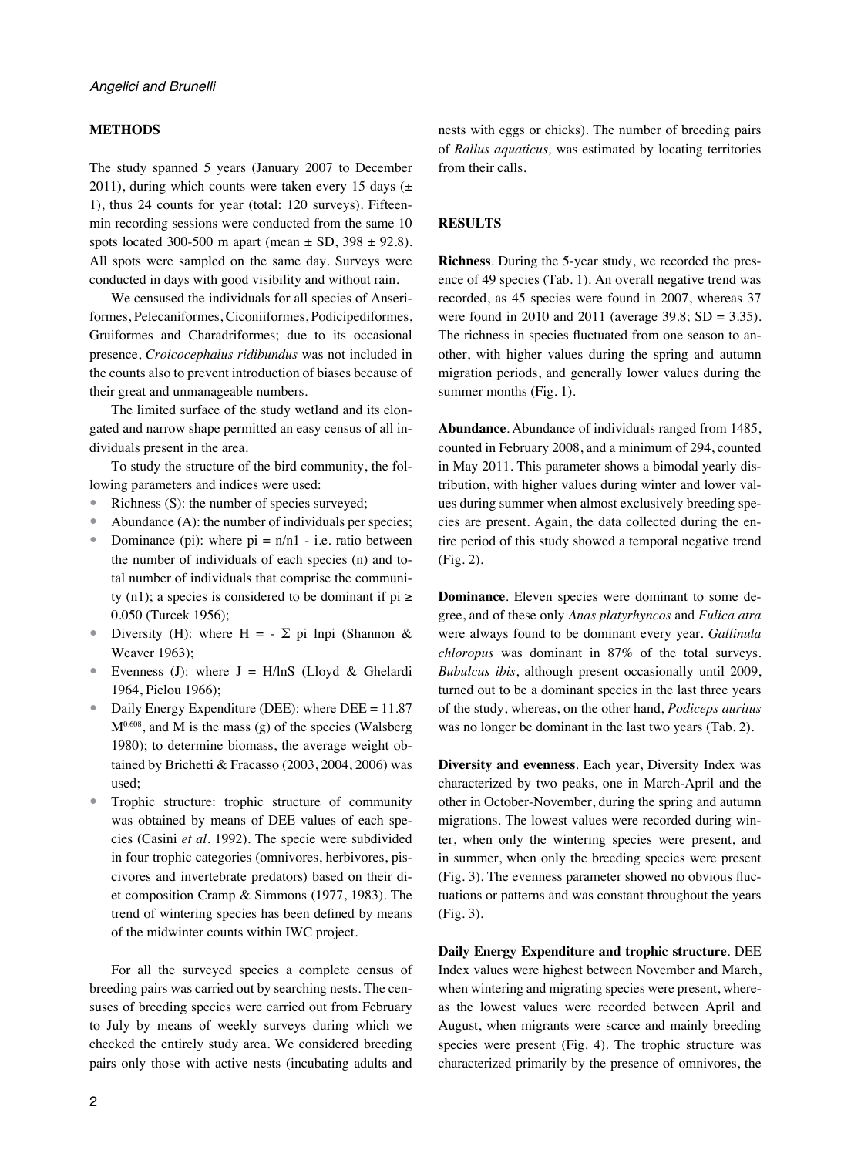#### **METHODS**

The study spanned 5 years (January 2007 to December 2011), during which counts were taken every 15 days  $( \pm )$ 1), thus 24 counts for year (total: 120 surveys). Fifteenmin recording sessions were conducted from the same 10 spots located 300-500 m apart (mean  $\pm$  SD, 398  $\pm$  92.8). All spots were sampled on the same day. Surveys were conducted in days with good visibility and without rain.

We censused the individuals for all species of Anseriformes, Pelecaniformes, Ciconiiformes, Podicipediformes, Gruiformes and Charadriformes; due to its occasional presence, *Croicocephalus ridibundus* was not included in the counts also to prevent introduction of biases because of their great and unmanageable numbers.

The limited surface of the study wetland and its elongated and narrow shape permitted an easy census of all individuals present in the area.

To study the structure of the bird community, the following parameters and indices were used:

- Richness (S): the number of species surveyed;
- Abundance (A): the number of individuals per species;
- Dominance (pi): where  $pi = n/n1$  i.e. ratio between the number of individuals of each species (n) and total number of individuals that comprise the community (n1); a species is considered to be dominant if  $pi \ge$ 0.050 (Turcek 1956);
- Diversity (H): where H =  $\Sigma$  pi lnpi (Shannon & Weaver 1963);
- Evenness (J): where  $J = H/\ln S$  (Lloyd & Ghelardi 1964, Pielou 1966);
- Daily Energy Expenditure (DEE): where DEE = 11.87  $M<sup>0.608</sup>$ , and M is the mass (g) of the species (Walsberg 1980); to determine biomass, the average weight obtained by Brichetti & Fracasso (2003, 2004, 2006) was used;
- Trophic structure: trophic structure of community was obtained by means of DEE values of each species (Casini *et al*. 1992). The specie were subdivided in four trophic categories (omnivores, herbivores, piscivores and invertebrate predators) based on their diet composition Cramp & Simmons (1977, 1983). The trend of wintering species has been defined by means of the midwinter counts within IWC project.

For all the surveyed species a complete census of breeding pairs was carried out by searching nests. The censuses of breeding species were carried out from February to July by means of weekly surveys during which we checked the entirely study area. We considered breeding pairs only those with active nests (incubating adults and nests with eggs or chicks). The number of breeding pairs of *Rallus aquaticus,* was estimated by locating territories from their calls.

## **RESULTS**

**Richness**. During the 5-year study, we recorded the presence of 49 species (Tab. 1). An overall negative trend was recorded, as 45 species were found in 2007, whereas 37 were found in 2010 and 2011 (average 39.8;  $SD = 3.35$ ). The richness in species fluctuated from one season to another, with higher values during the spring and autumn migration periods, and generally lower values during the summer months (Fig. 1).

**Abundance**. Abundance of individuals ranged from 1485, counted in February 2008, and a minimum of 294, counted in May 2011. This parameter shows a bimodal yearly distribution, with higher values during winter and lower values during summer when almost exclusively breeding species are present. Again, the data collected during the entire period of this study showed a temporal negative trend (Fig. 2).

**Dominance**. Eleven species were dominant to some degree, and of these only *Anas platyrhyncos* and *Fulica atra* were always found to be dominant every year. *Gallinula chloropus* was dominant in 87% of the total surveys. *Bubulcus ibis*, although present occasionally until 2009, turned out to be a dominant species in the last three years of the study, whereas, on the other hand, *Podiceps auritus* was no longer be dominant in the last two years (Tab. 2).

**Diversity and evenness**. Each year, Diversity Index was characterized by two peaks, one in March-April and the other in October-November, during the spring and autumn migrations. The lowest values were recorded during winter, when only the wintering species were present, and in summer, when only the breeding species were present (Fig. 3). The evenness parameter showed no obvious fluctuations or patterns and was constant throughout the years (Fig. 3).

**Daily Energy Expenditure and trophic structure**. DEE Index values were highest between November and March, when wintering and migrating species were present, whereas the lowest values were recorded between April and August, when migrants were scarce and mainly breeding species were present (Fig. 4). The trophic structure was characterized primarily by the presence of omnivores, the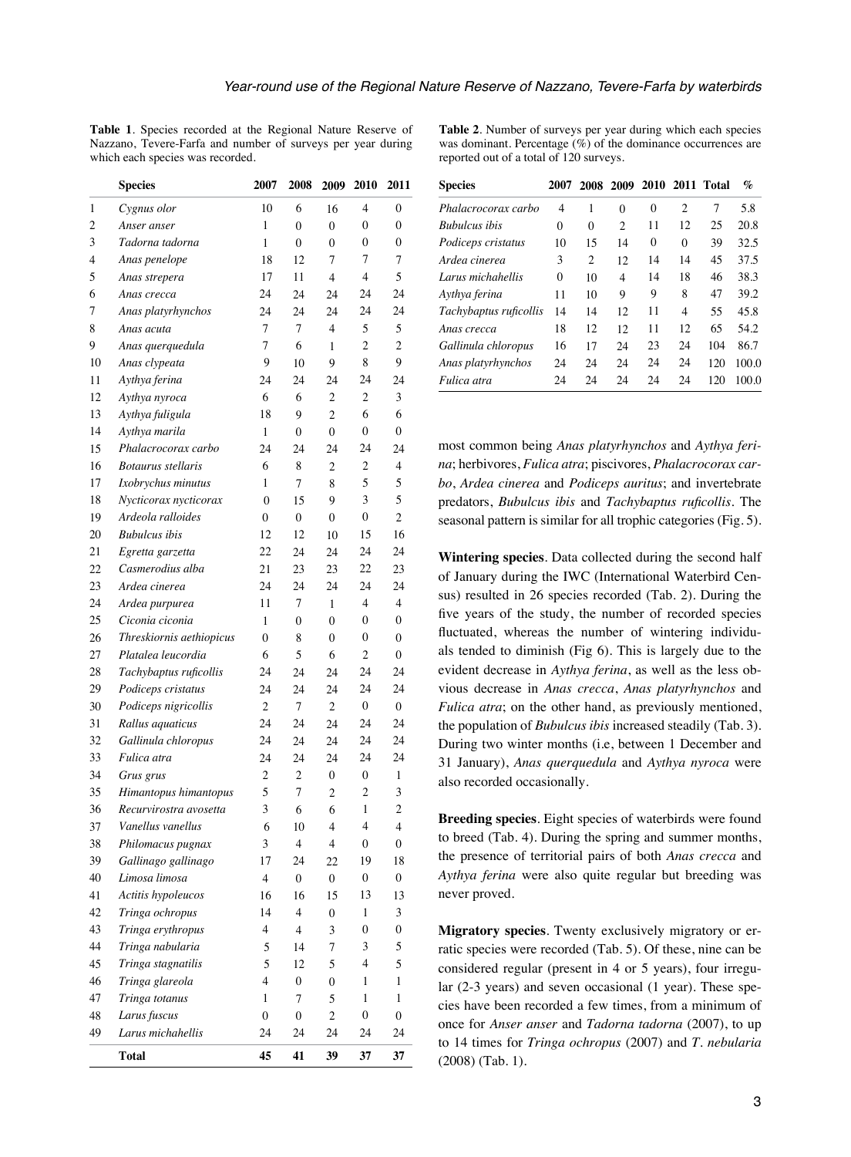**Table 1**. Species recorded at the Regional Nature Reserve of Nazzano, Tevere-Farfa and number of surveys per year during which each species was recorded.

|                | <b>Species</b>            | 2007                    | 2008                     | 2009           | 2010             | 2011             |
|----------------|---------------------------|-------------------------|--------------------------|----------------|------------------|------------------|
| 1              | Cygnus olor               | 10                      | 6                        | 16             | 4                | 0                |
| $\overline{c}$ | Anser anser               | 1                       | $\theta$                 | $\theta$       | $\mathbf{0}$     | $\mathbf{0}$     |
| 3              | Tadorna tadorna           | $\mathbf{1}$            | 0                        | 0              | 0                | 0                |
| 4              | Anas penelope             | 18                      | 12                       | 7              | 7                | 7                |
| 5              | Anas strepera             | 17                      | 11                       | 4              | 4                | 5                |
| 6              | Anas crecca               | 24                      | 24                       | 24             | 24               | 24               |
| 7              | Anas platyrhynchos        | 24                      | 24                       | 24             | 24               | 24               |
| 8              | Anas acuta                | 7                       | 7                        | 4              | 5                | 5                |
| 9              | Anas querquedula          | 7                       | 6                        | 1              | $\overline{2}$   | $\overline{c}$   |
| 10             | Anas clypeata             | 9                       | 10                       | 9              | 8                | 9                |
| 11             | Aythya ferina             | 24                      | 24                       | 24             | 24               | 24               |
| 12             | Aythya nyroca             | 6                       | 6                        | $\overline{c}$ | 2                | 3                |
| 13             | Aythya fuligula           | 18                      | 9                        | $\overline{c}$ | 6                | 6                |
| 14             | Aythya marila             | 1                       | 0                        | 0              | $\boldsymbol{0}$ | 0                |
| 15             | Phalacrocorax carbo       | 24                      | 24                       | 24             | 24               | 24               |
| 16             | <b>Botaurus</b> stellaris | 6                       | 8                        | $\overline{c}$ | 2                | 4                |
| 17             | Ixobrychus minutus        | 1                       | 7                        | 8              | 5                | 5                |
| 18             | Nycticorax nycticorax     | $\mathbf{0}$            | 15                       | 9              | 3                | 5                |
| 19             | Ardeola ralloides         | 0                       | $\boldsymbol{0}$         | 0              | 0                | $\overline{2}$   |
| 20             | <b>Bubulcus</b> ibis      | 12                      | 12                       | 10             | 15               | 16               |
| 21             | Egretta garzetta          | 22                      | 24                       | 24             | 24               | 24               |
| 22             | Casmerodius alba          | 21                      | 23                       | 23             | 22               | 23               |
| 23             | Ardea cinerea             | 24                      | 24                       | 24             | 24               | 24               |
| 24             | Ardea purpurea            | 11                      | 7                        | 1              | 4                | 4                |
| 25             | Ciconia ciconia           | $\mathbf{1}$            | 0                        | 0              | $\mathbf{0}$     | $\mathbf{0}$     |
| 26             | Threskiornis aethiopicus  | $\boldsymbol{0}$        | 8                        | $\theta$       | 0                | $\mathbf{0}$     |
| 27             | Platalea leucordia        | 6                       | 5                        | 6              | 2                | $\mathbf{0}$     |
| 28             | Tachybaptus ruficollis    | 24                      | 24                       | 24             | 24               | 24               |
| 29             | Podiceps cristatus        | 24                      | 24                       | 24             | 24               | 24               |
| 30             | Podiceps nigricollis      | $\overline{c}$          | 7                        | $\overline{c}$ | $\boldsymbol{0}$ | $\boldsymbol{0}$ |
| 31             | Rallus aquaticus          | 24                      | 24                       | 24             | 24               | 24               |
| 32             | Gallinula chloropus       | 24                      | 24                       | 24             | 24               | 24               |
| 33             | Fulica atra               | 24                      | 24                       | 24             | 24               | 24               |
| 34             | Grus grus                 | $\overline{c}$          | 2                        | 0              | $\boldsymbol{0}$ | 1                |
| 35             | Himantopus himantopus     | 5                       | 7                        | $\overline{c}$ | 2                | 3                |
| 36             | Recurvirostra avosetta    | 3                       | 6                        | 6              | 1                | $\overline{c}$   |
| 37             | Vanellus vanellus         | 6                       | 10                       | 4              | 4                | 4                |
| 38             | Philomacus pugnax         | 3                       | $\overline{\mathcal{L}}$ | $\overline{4}$ | $\mathbf{0}$     | $\mathbf{0}$     |
| 39             | Gallinago gallinago       | 17                      | 24                       | 22             | 19               | 18               |
| 40             | Limosa limosa             | 4                       | 0                        | 0              | $\boldsymbol{0}$ | $\boldsymbol{0}$ |
| 41             | Actitis hypoleucos        | 16                      | 16                       | 15             | 13               | 13               |
| 42             | Tringa ochropus           | 14                      | $\overline{4}$           | 0              | 1                | 3                |
| 43             | Tringa erythropus         | $\overline{\mathbf{4}}$ | $\overline{4}$           | 3              | 0                | $\boldsymbol{0}$ |
| 44             | Tringa nabularia          | 5                       | 14                       | 7              | 3                | 5                |
| 45             | Tringa stagnatilis        | 5                       | 12                       | 5              | 4                | 5                |
| 46             | Tringa glareola           | 4                       | 0                        | 0              | 1                | 1                |
| 47             | Tringa totanus            | $\mathbf{1}$            | $\overline{7}$           | 5              | 1                | 1                |
| 48             | Larus fuscus              | 0                       | 0                        | $\overline{c}$ | $\boldsymbol{0}$ | 0                |
| 49             | Larus michahellis         | 24                      | 24                       | 24             | 24               | 24               |
|                | <b>Total</b>              | 45                      | 41                       | 39             | 37               | 37               |

**Table 2**. Number of surveys per year during which each species was dominant. Percentage  $(\%)$  of the dominance occurrences are reported out of a total of 120 surveys.

| <b>Species</b>         | 2007     |          | 2008 2009 |          |                | 2010 2011 Total | $\%$  |
|------------------------|----------|----------|-----------|----------|----------------|-----------------|-------|
| Phalacrocorax carbo    | 4        | 1        | $\Omega$  | $\theta$ | $\overline{c}$ | 7               | 5.8   |
| <b>Bubulcus</b> ibis   | $\theta$ | $\theta$ | 2         | 11       | 12             | 25              | 20.8  |
| Podiceps cristatus     | 10       | 15       | 14        | $\theta$ | $\Omega$       | 39              | 32.5  |
| Ardea cinerea          | 3        | 2        | 12        | 14       | 14             | 45              | 37.5  |
| Larus michahellis      | $\theta$ | 10       | 4         | 14       | 18             | 46              | 38.3  |
| Aythya ferina          | 11       | 10       | 9         | 9        | 8              | 47              | 39.2  |
| Tachybaptus ruficollis | 14       | 14       | 12        | 11       | 4              | 55              | 45.8  |
| Anas crecca            | 18       | 12       | 12        | 11       | 12             | 65              | 54.2  |
| Gallinula chloropus    | 16       | 17       | 24        | 23       | 24             | 104             | 86.7  |
| Anas platyrhynchos     | 24       | 24       | 24        | 24       | 24             | 120             | 100.0 |
| Fulica atra            | 24       | 24       | 24        | 24       | 24             | 120             | 100.0 |

most common being *Anas platyrhynchos* and *Aythya ferina*; herbivores, *Fulica atra*; piscivores, *Phalacrocorax carbo*, *Ardea cinerea* and *Podiceps auritus*; and invertebrate predators, *Bubulcus ibis* and *Tachybaptus ruficollis*. The seasonal pattern is similar for all trophic categories (Fig. 5).

**Wintering species**. Data collected during the second half of January during the IWC (International Waterbird Census) resulted in 26 species recorded (Tab. 2). During the five years of the study, the number of recorded species fluctuated, whereas the number of wintering individuals tended to diminish (Fig 6). This is largely due to the evident decrease in *Aythya ferina*, as well as the less obvious decrease in *Anas crecca*, *Anas platyrhynchos* and *Fulica atra*; on the other hand, as previously mentioned, the population of *Bubulcus ibis* increased steadily (Tab. 3). During two winter months (i.e, between 1 December and 31 January), *Anas querquedula* and *Aythya nyroca* were also recorded occasionally.

**Breeding species**. Eight species of waterbirds were found to breed (Tab. 4). During the spring and summer months, the presence of territorial pairs of both *Anas crecca* and *Aythya ferina* were also quite regular but breeding was never proved.

**Migratory species**. Twenty exclusively migratory or erratic species were recorded (Tab. 5). Of these, nine can be considered regular (present in 4 or 5 years), four irregular (2-3 years) and seven occasional (1 year). These species have been recorded a few times, from a minimum of once for *Anser anser* and *Tadorna tadorna* (2007), to up to 14 times for *Tringa ochropus* (2007) and *T. nebularia* (2008) (Tab. 1).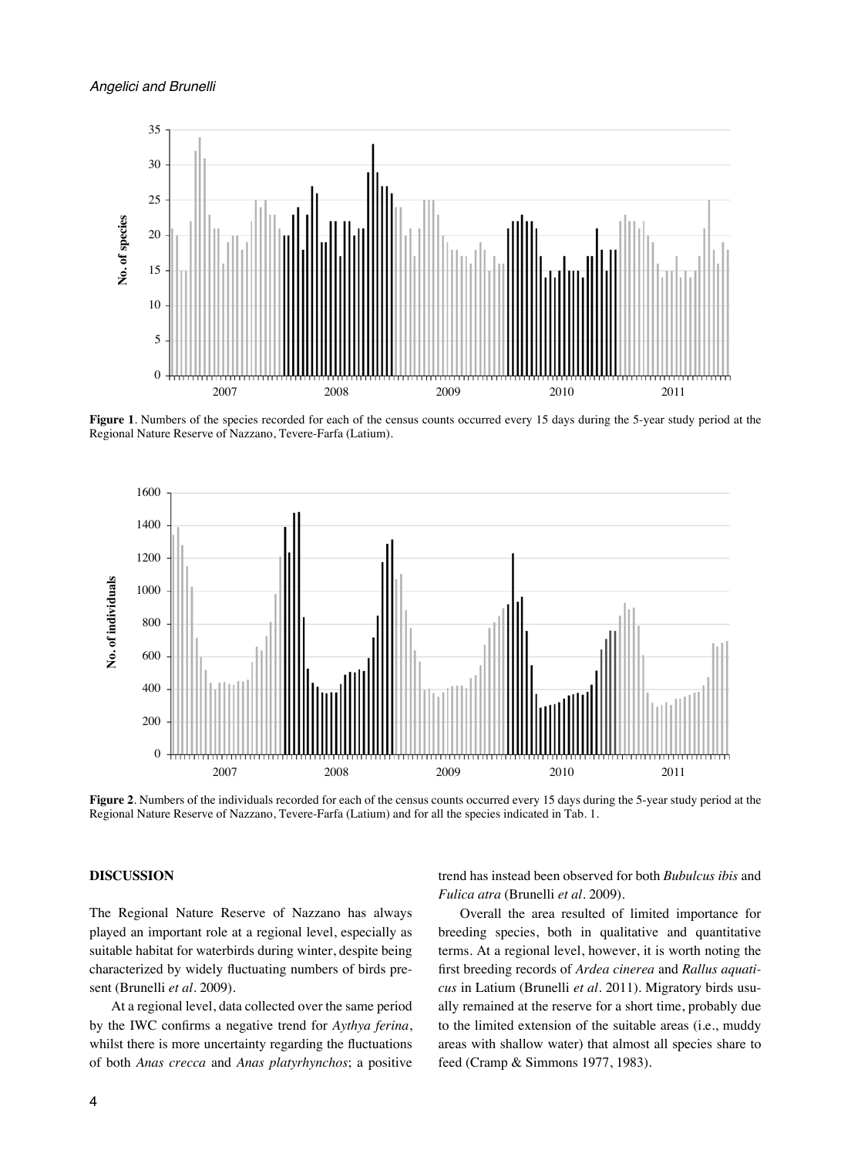

**Figure 1**. Numbers of the species recorded for each of the census counts occurred every 15 days during the 5-year study period at the Regional Nature Reserve of Nazzano, Tevere-Farfa (Latium).



**Figure 2**. Numbers of the individuals recorded for each of the census counts occurred every 15 days during the 5-year study period at the Regional Nature Reserve of Nazzano, Tevere-Farfa (Latium) and for all the species indicated in Tab. 1.

## **DISCUSSION**

The Regional Nature Reserve of Nazzano has always played an important role at a regional level, especially as suitable habitat for waterbirds during winter, despite being characterized by widely fluctuating numbers of birds present (Brunelli *et al.* 2009).

At a regional level, data collected over the same period by the IWC confirms a negative trend for *Aythya ferina*, whilst there is more uncertainty regarding the fluctuations of both *Anas crecca* and *Anas platyrhynchos*; a positive trend has instead been observed for both *Bubulcus ibis* and *Fulica atra* (Brunelli *et al.* 2009).

Overall the area resulted of limited importance for breeding species, both in qualitative and quantitative terms. At a regional level, however, it is worth noting the first breeding records of *Ardea cinerea* and *Rallus aquaticus* in Latium (Brunelli *et al.* 2011). Migratory birds usually remained at the reserve for a short time, probably due to the limited extension of the suitable areas (i.e., muddy areas with shallow water) that almost all species share to feed (Cramp & Simmons 1977, 1983).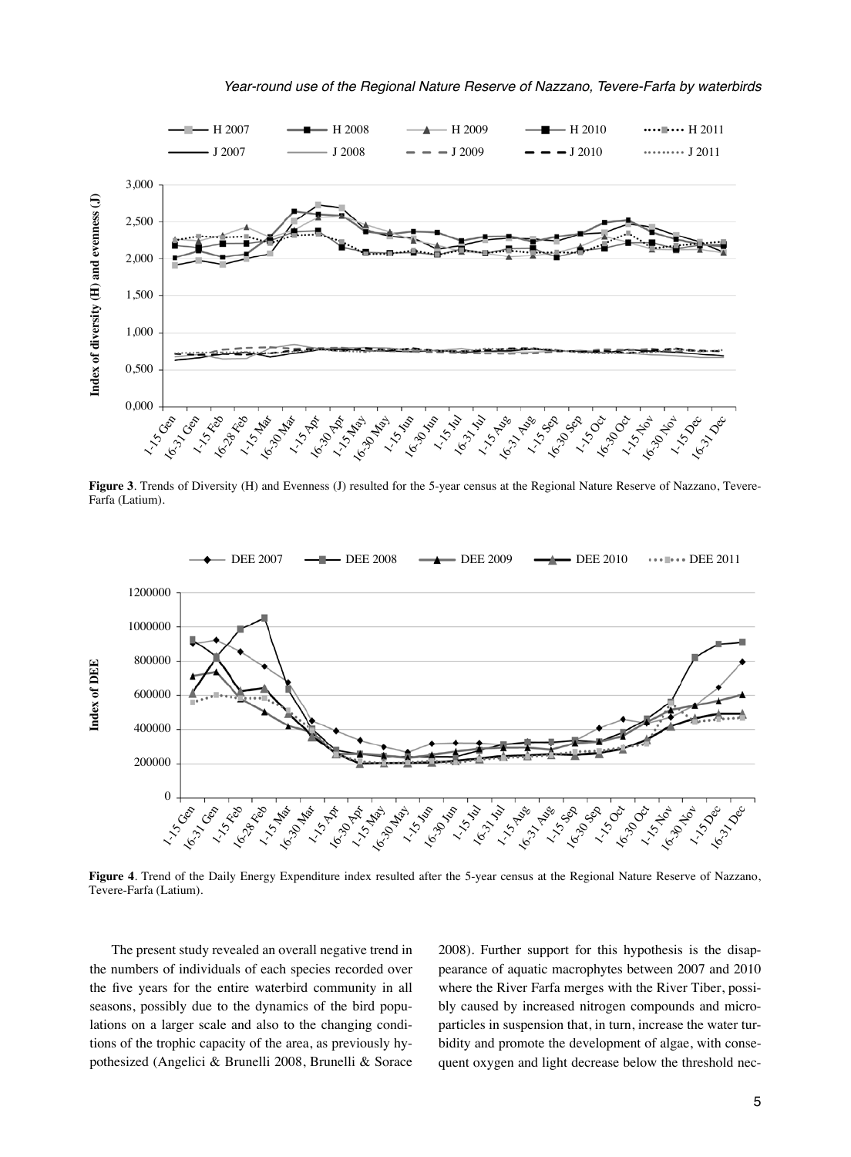

**Figure 3**. Trends of Diversity (H) and Evenness (J) resulted for the 5-year census at the Regional Nature Reserve of Nazzano, Tevere-Farfa (Latium).



**Figure 4**. Trend of the Daily Energy Expenditure index resulted after the 5-year census at the Regional Nature Reserve of Nazzano, Tevere-Farfa (Latium).

The present study revealed an overall negative trend in the numbers of individuals of each species recorded over the five years for the entire waterbird community in all seasons, possibly due to the dynamics of the bird populations on a larger scale and also to the changing conditions of the trophic capacity of the area, as previously hypothesized (Angelici & Brunelli 2008, Brunelli & Sorace 2008). Further support for this hypothesis is the disappearance of aquatic macrophytes between 2007 and 2010 where the River Farfa merges with the River Tiber, possibly caused by increased nitrogen compounds and microparticles in suspension that, in turn, increase the water turbidity and promote the development of algae, with consequent oxygen and light decrease below the threshold nec-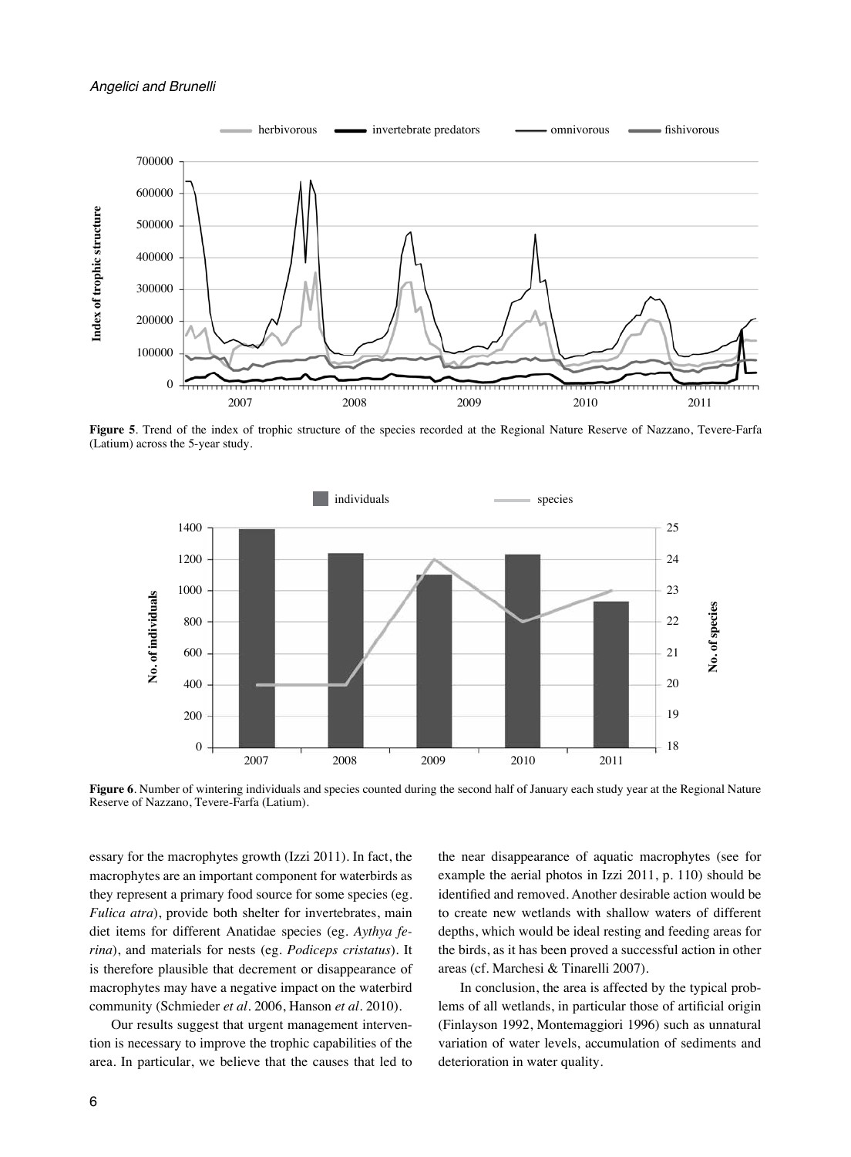

**Figure 5**. Trend of the index of trophic structure of the species recorded at the Regional Nature Reserve of Nazzano, Tevere-Farfa (Latium) across the 5-year study.



Figure 6. Number of wintering individuals and species counted during the second half of January each study year at the Regional Nature Reserve of Nazzano, Tevere-Farfa (Latium).

essary for the macrophytes growth (Izzi 2011). In fact, the macrophytes are an important component for waterbirds as they represent a primary food source for some species (eg. *Fulica atra*), provide both shelter for invertebrates, main diet items for different Anatidae species (eg. *Aythya ferina*), and materials for nests (eg. *Podiceps cristatus*). It is therefore plausible that decrement or disappearance of macrophytes may have a negative impact on the waterbird community (Schmieder *et al*. 2006, Hanson *et al*. 2010).

Our results suggest that urgent management intervention is necessary to improve the trophic capabilities of the area. In particular, we believe that the causes that led to the near disappearance of aquatic macrophytes (see for example the aerial photos in Izzi 2011, p. 110) should be identified and removed. Another desirable action would be to create new wetlands with shallow waters of different depths, which would be ideal resting and feeding areas for the birds, as it has been proved a successful action in other areas (cf. Marchesi & Tinarelli 2007).

In conclusion, the area is affected by the typical problems of all wetlands, in particular those of artificial origin (Finlayson 1992, Montemaggiori 1996) such as unnatural variation of water levels, accumulation of sediments and deterioration in water quality.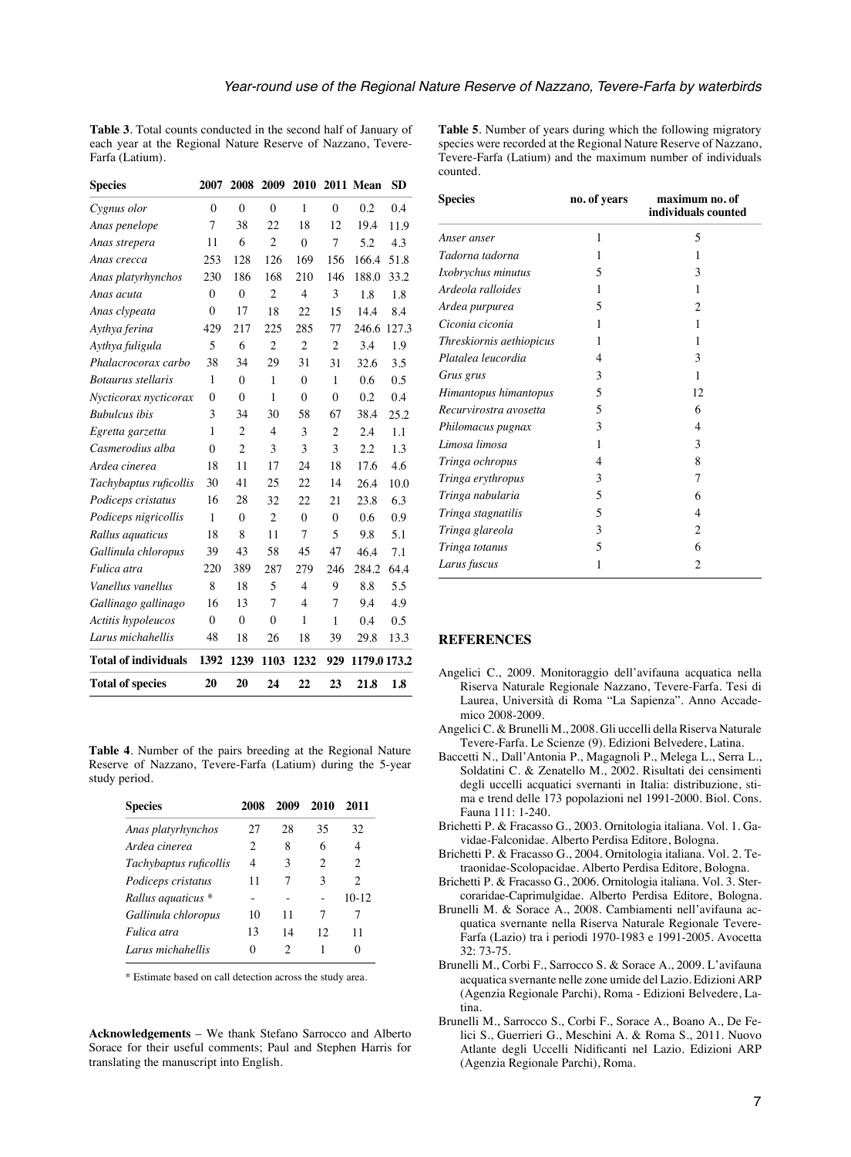**Table 3**. Total counts conducted in the second half of January of each year at the Regional Nature Reserve of Nazzano, Tevere-Farfa (Latium).

| <b>Species</b>              | 2007         | 2008           | 2009           | 2010           |                | 2011 Mean    | <b>SD</b> |
|-----------------------------|--------------|----------------|----------------|----------------|----------------|--------------|-----------|
| Cygnus olor                 | $\theta$     | $\theta$       | $\theta$       | 1              | $\theta$       | 0.2          | 0.4       |
| Anas penelope               | 7            | 38             | 22             | 18             | 12.            | 19.4         | 11.9      |
| Anas strepera               | 11           | 6              | $\overline{c}$ | $\theta$       | $\overline{7}$ | 5.2          | 4.3       |
| Anas crecca                 | 253          | 128            | 126            | 169            | 156            | 166.4        | 51.8      |
| Anas platyrhynchos          | 230          | 186            | 168            | 210            | 146            | 188.0        | 33.2      |
| Anas acuta                  | $\theta$     | $\theta$       | $\overline{c}$ | $\overline{4}$ | 3              | 1.8          | 1.8       |
| Anas clypeata               | $\theta$     | 17             | 18             | 22             | 15             | 14.4         | 8.4       |
| Aythya ferina               | 429          | 217            | 225            | 285            | 77             | 246.6        | 127.3     |
| Aythya fuligula             | 5            | 6              | $\overline{c}$ | $\overline{2}$ | $\overline{2}$ | 3.4          | 1.9       |
| Phalacrocorax carbo         | 38           | 34             | 29             | 31             | 31             | 32.6         | 3.5       |
| <b>Botaurus</b> stellaris   | 1            | $\Omega$       | 1              | $\theta$       | 1              | 0.6          | 0.5       |
| Nycticorax nycticorax       | $\theta$     | $\theta$       | 1              | $\theta$       | $\theta$       | 0.2          | 0.4       |
| <b>Bubulcus</b> ibis        | 3            | 34             | 30             | 58             | 67             | 38.4         | 25.2      |
| Egretta garzetta            | 1            | 2              | 4              | 3              | $\overline{c}$ | 2.4          | 1.1       |
| Casmerodius alba            | $\mathbf{0}$ | $\overline{c}$ | 3              | 3              | 3              | 2.2          | 1.3       |
| Ardea cinerea               | 18           | 11             | 17             | 24             | 18             | 17.6         | 4.6       |
| Tachybaptus ruficollis      | 30           | 41             | 25             | 22             | 14             | 26.4         | 10.0      |
| Podiceps cristatus          | 16           | 28             | 32             | 22             | 21             | 23.8         | 6.3       |
| Podiceps nigricollis        | 1            | $\theta$       | $\overline{c}$ | $\theta$       | $\theta$       | 0.6          | 0.9       |
| Rallus aquaticus            | 18           | 8              | 11             | $\overline{7}$ | 5              | 9.8          | 5.1       |
| Gallinula chloropus         | 39           | 43             | 58             | 45             | 47             | 46.4         | 7.1       |
| Fulica atra                 | 220          | 389            | 287            | 279            | 246            | 284.2        | 64.4      |
| Vanellus vanellus           | 8            | 18             | 5              | $\overline{4}$ | 9              | 8.8          | 5.5       |
| Gallinago gallinago         | 16           | 13             | 7              | $\overline{4}$ | 7              | 9.4          | 4.9       |
| Actitis hypoleucos          | $\theta$     | $\theta$       | $\theta$       | 1              | 1              | 0.4          | 0.5       |
| Larus michahellis           | 48           | 18             | 26             | 18             | 39             | 29.8         | 13.3      |
| <b>Total of individuals</b> | 1392         | 1239           | 1103           | 1232           | 929            | 1179.0 173.2 |           |
| <b>Total of species</b>     | 20           | 20             | 24             | 22             | 23             | 21.8         | 1.8       |

**Table 4**. Number of the pairs breeding at the Regional Nature Reserve of Nazzano, Tevere-Farfa (Latium) during the 5-year study period.

| <b>Species</b>         | 2008 | 2009 | 2010           | 2011           |
|------------------------|------|------|----------------|----------------|
| Anas platyrhynchos     | 27   | 28   | 35             | 32             |
| Ardea cinerea          | 2    | 8    | 6              | 4              |
| Tachybaptus ruficollis | 4    | 3    | $\mathfrak{D}$ | $\mathfrak{D}$ |
| Podiceps cristatus     | 11   | 7    | 3              | 2              |
| Rallus aquaticus *     |      |      |                | $10-12$        |
| Gallinula chloropus    | 10   | 11   | 7              | 7              |
| Fulica atra            | 13   | 14   | 12             | 11             |
| Larus michahellis      | 0    | 2    |                | 0              |

\* Estimate based on call detection across the study area.

**Acknowledgements** – We thank Stefano Sarrocco and Alberto Sorace for their useful comments; Paul and Stephen Harris for translating the manuscript into English.

**Table 5**. Number of years during which the following migratory species were recorded at the Regional Nature Reserve of Nazzano, Tevere-Farfa (Latium) and the maximum number of individuals counted.

| <b>Species</b>           | no. of years   | maximum no. of<br>individuals counted |  |  |
|--------------------------|----------------|---------------------------------------|--|--|
| Anser anser              | 1              | 5                                     |  |  |
| Tadorna tadorna          | 1              | 1                                     |  |  |
| Ixobrychus minutus       | 5              | 3                                     |  |  |
| Ardeola ralloides        | 1              | 1                                     |  |  |
| Ardea purpurea           | 5              | 2                                     |  |  |
| Ciconia ciconia          | 1              | 1                                     |  |  |
| Threskiornis aethiopicus | 1              | 1                                     |  |  |
| Platalea leucordia       | $\overline{4}$ | 3                                     |  |  |
| Grus grus                | 3              | 1                                     |  |  |
| Himantopus himantopus    | 5              | 12                                    |  |  |
| Recurvirostra avosetta   | $\overline{5}$ | 6                                     |  |  |
| Philomacus pugnax        | 3              | 4                                     |  |  |
| Limosa limosa            | 1              | 3                                     |  |  |
| Tringa ochropus          | $\overline{4}$ | 8                                     |  |  |
| Tringa erythropus        | 3              | 7                                     |  |  |
| Tringa nabularia         | 5              | 6                                     |  |  |
| Tringa stagnatilis       | 5              | 4                                     |  |  |
| Tringa glareola          | 3              | 2                                     |  |  |
| Tringa totanus           | 5              | 6                                     |  |  |
| Larus fuscus             | 1              | 2                                     |  |  |

#### **REFERENCES**

- Angelici C., 2009. Monitoraggio dell'avifauna acquatica nella Riserva Naturale Regionale Nazzano, Tevere-Farfa. Tesi di Laurea, Università di Roma "La Sapienza". Anno Accademico 2008-2009.
- Angelici C. & Brunelli M., 2008. Gli uccelli della Riserva Naturale Tevere-Farfa. Le Scienze (9). Edizioni Belvedere, Latina.
- Baccetti N., Dall'Antonia P., Magagnoli P., Melega L., Serra L., Soldatini C. & Zenatello M., 2002. Risultati dei censimenti degli uccelli acquatici svernanti in Italia: distribuzione, stima e trend delle 173 popolazioni nel 1991-2000. Biol. Cons. Fauna 111: 1-240.
- Brichetti P. & Fracasso G., 2003. Ornitologia italiana. Vol. 1. Gavidae-Falconidae. Alberto Perdisa Editore, Bologna.
- Brichetti P. & Fracasso G., 2004. Ornitologia italiana. Vol. 2. Tetraonidae-Scolopacidae. Alberto Perdisa Editore, Bologna.
- Brichetti P. & Fracasso G., 2006. Ornitologia italiana. Vol. 3. Stercoraridae-Caprimulgidae. Alberto Perdisa Editore, Bologna.
- Brunelli M. & Sorace A., 2008. Cambiamenti nell'avifauna acquatica svernante nella Riserva Naturale Regionale Tevere-Farfa (Lazio) tra i periodi 1970-1983 e 1991-2005. Avocetta 32: 73-75.
- Brunelli M., Corbi F., Sarrocco S. & Sorace A., 2009. L'avifauna acquatica svernante nelle zone umide del Lazio. Edizioni ARP (Agenzia Regionale Parchi), Roma - Edizioni Belvedere, Latina.
- Brunelli M., Sarrocco S., Corbi F., Sorace A., Boano A., De Felici S., Guerrieri G., Meschini A. & Roma S., 2011. Nuovo Atlante degli Uccelli Nidificanti nel Lazio. Edizioni ARP (Agenzia Regionale Parchi), Roma.